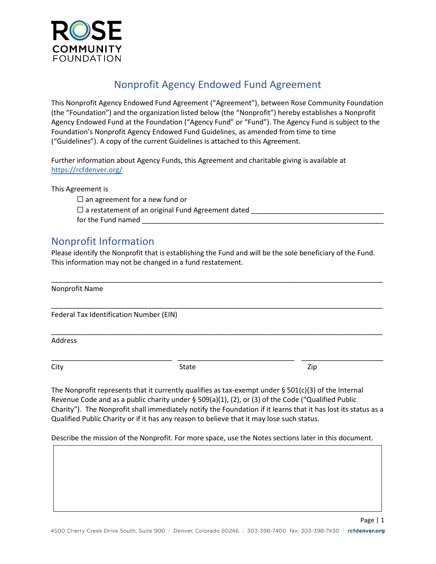

# Nonprofit Agency Endowed Fund Agreement

This Nonprofit Agency Endowed Fund Agreement ("Agreement"), between Rose Community Foundation (the "Foundation") and the organization listed below (the "Nonprofit") hereby establishes a Nonprofit Agency Endowed Fund at the Foundation ("Agency Fund" or "Fund"). The Agency Fund is subject to the Foundation's Nonprofit Agency Endowed Fund Guidelines, as amended from time to time ("Guidelines"). A copy of the current Guidelines is attached to this Agreement.

Further information about Agency Funds, this Agreement and charitable giving is available at <https://rcfdenver.org/>

This Agreement is

 $\Box$  an agreement for a new fund or  $\Box$  a restatement of an original Fund Agreement dated for the Fund named

# Nonprofit Information

Please identify the Nonprofit that is establishing the Fund and will be the sole beneficiary of the Fund. This information may not be changed in a fund restatement.

| Nonprofit Name                          |       |     |
|-----------------------------------------|-------|-----|
| Federal Tax Identification Number (EIN) |       |     |
| <b>Address</b>                          |       |     |
| City                                    | State | Zip |

The Nonprofit represents that it currently qualifies as tax-exempt under  $\S$  501(c)(3) of the Internal Revenue Code and as a public charity under § 509(a)(1), (2), or (3) of the Code ("Qualified Public Charity"). The Nonprofit shall immediately notify the Foundation if it learns that it has lost its status as a Qualified Public Charity or if it has any reason to believe that it may lose such status.

Describe the mission of the Nonprofit. For more space, use the Notes sections later in this document.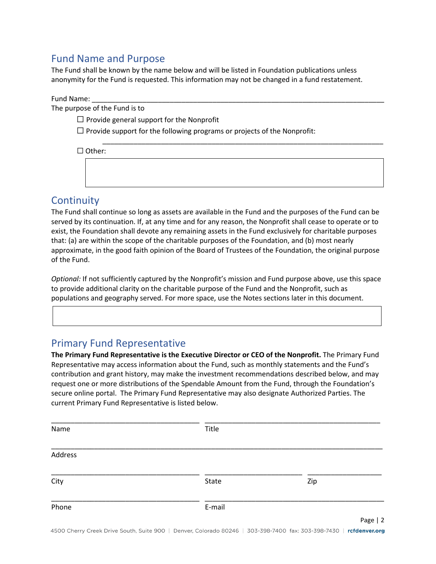## Fund Name and Purpose

The Fund shall be known by the name below and will be listed in Foundation publications unless anonymity for the Fund is requested. This information may not be changed in a fund restatement.

Fund Name:

The purpose of the Fund is to

 $\Box$  Provide general support for the Nonprofit

 $\Box$  Provide support for the following programs or projects of the Nonprofit:

| $\Box$ Other: |  |  |  |
|---------------|--|--|--|
|               |  |  |  |
|               |  |  |  |
|               |  |  |  |

## **Continuity**

The Fund shall continue so long as assets are available in the Fund and the purposes of the Fund can be served by its continuation. If, at any time and for any reason, the Nonprofit shall cease to operate or to exist, the Foundation shall devote any remaining assets in the Fund exclusively for charitable purposes that: (a) are within the scope of the charitable purposes of the Foundation, and (b) most nearly approximate, in the good faith opinion of the Board of Trustees of the Foundation, the original purpose of the Fund.

*Optional:* If not sufficiently captured by the Nonprofit's mission and Fund purpose above, use this space to provide additional clarity on the charitable purpose of the Fund and the Nonprofit, such as populations and geography served. For more space, use the Notes sections later in this document.

### Primary Fund Representative

**The Primary Fund Representative is the Executive Director or CEO of the Nonprofit.** The Primary Fund Representative may access information about the Fund, such as monthly statements and the Fund's contribution and grant history, may make the investment recommendations described below, and may request one or more distributions of the Spendable Amount from the Fund, through the Foundation's secure online portal. The Primary Fund Representative may also designate Authorized Parties. The current Primary Fund Representative is listed below.

| Name    | Title  |          |
|---------|--------|----------|
| Address |        |          |
| City    | State  | Zip      |
| Phone   | E-mail |          |
|         |        | Page   2 |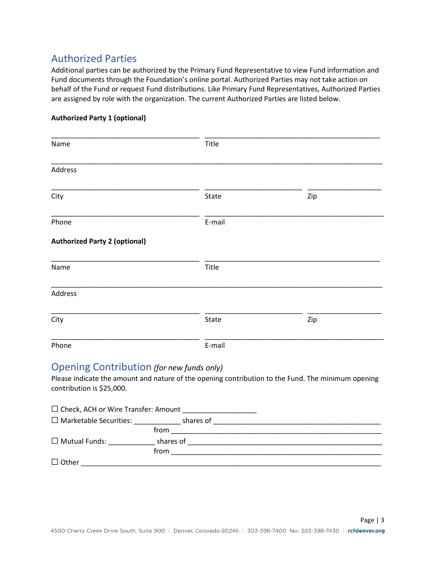## Authorized Parties

Additional parties can be authorized by the Primary Fund Representative to view Fund information and Fund documents through the Foundation's online portal. Authorized Parties may not take action on behalf of the Fund or request Fund distributions. Like Primary Fund Representatives, Authorized Parties are assigned by role with the organization. The current Authorized Parties are listed below.

#### **Authorized Party 1 (optional)**

| Name                                 | Title  |     |
|--------------------------------------|--------|-----|
| Address                              |        |     |
| City                                 | State  | Zip |
| Phone                                | E-mail |     |
| <b>Authorized Party 2 (optional)</b> |        |     |
| Name                                 | Title  |     |
| Address                              |        |     |
| City                                 | State  | Zip |
| Phone                                | E-mail |     |

### Opening Contribution *(for new funds only)*

Please indicate the amount and nature of the opening contribution to the Fund. The minimum opening contribution is \$25,000.

| $\Box$ Check, ACH or Wire Transfer: Amount |           |  |
|--------------------------------------------|-----------|--|
| $\Box$ Marketable Securities:              | shares of |  |
|                                            | from      |  |
| $\Box$ Mutual Funds:                       | shares of |  |
|                                            | from      |  |
| $\Box$ Other                               |           |  |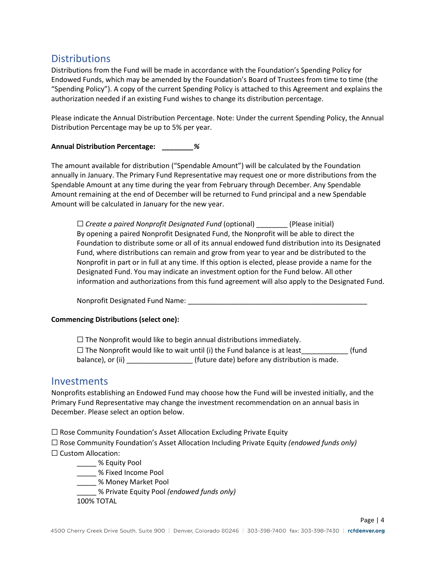### **Distributions**

Distributions from the Fund will be made in accordance with the Foundation's Spending Policy for Endowed Funds, which may be amended by the Foundation's Board of Trustees from time to time (the "Spending Policy"). A copy of the current Spending Policy is attached to this Agreement and explains the authorization needed if an existing Fund wishes to change its distribution percentage.

Please indicate the Annual Distribution Percentage. Note: Under the current Spending Policy, the Annual Distribution Percentage may be up to 5% per year.

#### **Annual Distribution Percentage:** *\_\_\_\_\_\_\_\_%*

The amount available for distribution ("Spendable Amount") will be calculated by the Foundation annually in January. The Primary Fund Representative may request one or more distributions from the Spendable Amount at any time during the year from February through December. Any Spendable Amount remaining at the end of December will be returned to Fund principal and a new Spendable Amount will be calculated in January for the new year.

□ *Create a paired Nonprofit Designated Fund* (optional) (Please initial) By opening a paired Nonprofit Designated Fund, the Nonprofit will be able to direct the Foundation to distribute some or all of its annual endowed fund distribution into its Designated Fund, where distributions can remain and grow from year to year and be distributed to the Nonprofit in part or in full at any time. If this option is elected, please provide a name for the Designated Fund. You may indicate an investment option for the Fund below. All other information and authorizations from this fund agreement will also apply to the Designated Fund.

Nonprofit Designated Fund Name: \_\_\_\_\_\_\_\_\_\_\_\_\_\_\_\_\_\_\_\_\_\_\_\_\_\_\_\_\_\_\_\_\_\_\_\_\_\_\_\_\_\_\_\_\_\_

#### **Commencing Distributions (select one):**

 $\Box$  The Nonprofit would like to begin annual distributions immediately. □ The Nonprofit would like to wait until (i) the Fund balance is at least\_\_\_\_\_\_\_\_\_\_\_\_\_ (fund balance), or (ii) \_\_\_\_\_\_\_\_\_\_\_\_\_\_\_\_\_\_\_\_\_(future date) before any distribution is made.

### **Investments**

Nonprofits establishing an Endowed Fund may choose how the Fund will be invested initially, and the Primary Fund Representative may change the investment recommendation on an annual basis in December. Please select an option below.

 $\Box$  Rose Community Foundation's Asset Allocation Excluding Private Equity

☐ Rose Community Foundation's Asset Allocation Including Private Equity *(endowed funds only)* ☐ Custom Allocation:

- \_\_\_\_\_ % Equity Pool
- \_\_\_\_\_ % Fixed Income Pool
- \_\_\_\_\_ % Money Market Pool
- \_\_\_\_\_ % Private Equity Pool *(endowed funds only)*

100% TOTAL

Page | 4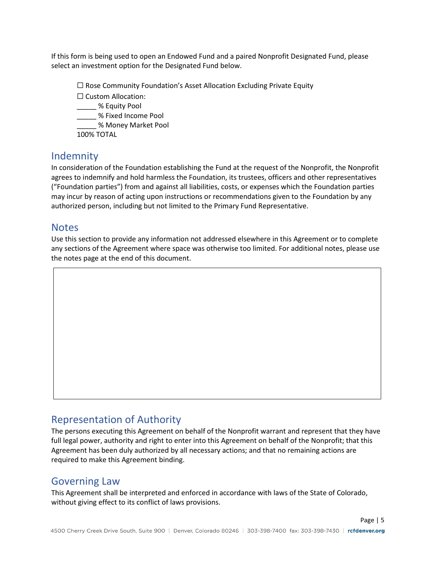If this form is being used to open an Endowed Fund and a paired Nonprofit Designated Fund, please select an investment option for the Designated Fund below.

☐ Rose Community Foundation's Asset Allocation Excluding Private Equity

☐ Custom Allocation:

\_\_\_\_\_ % Equity Pool

\_\_\_\_\_ % Fixed Income Pool

\_\_\_\_\_ % Money Market Pool

100% TOTAL

### Indemnity

In consideration of the Foundation establishing the Fund at the request of the Nonprofit, the Nonprofit agrees to indemnify and hold harmless the Foundation, its trustees, officers and other representatives ("Foundation parties") from and against all liabilities, costs, or expenses which the Foundation parties may incur by reason of acting upon instructions or recommendations given to the Foundation by any authorized person, including but not limited to the Primary Fund Representative.

### **Notes**

Use this section to provide any information not addressed elsewhere in this Agreement or to complete any sections of the Agreement where space was otherwise too limited. For additional notes, please use the notes page at the end of this document.

### Representation of Authority

The persons executing this Agreement on behalf of the Nonprofit warrant and represent that they have full legal power, authority and right to enter into this Agreement on behalf of the Nonprofit; that this Agreement has been duly authorized by all necessary actions; and that no remaining actions are required to make this Agreement binding.

### Governing Law

This Agreement shall be interpreted and enforced in accordance with laws of the State of Colorado, without giving effect to its conflict of laws provisions.

Page | 5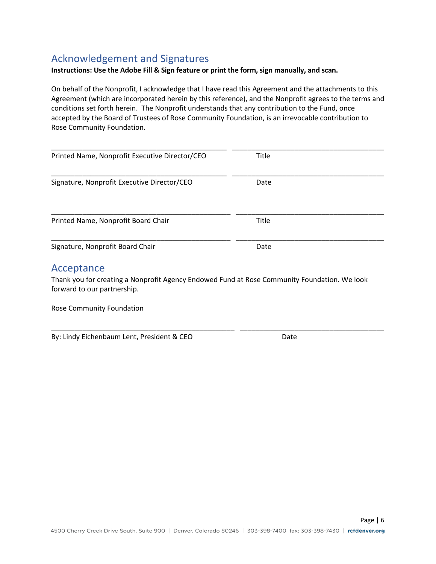## Acknowledgement and Signatures

#### **Instructions: Use the Adobe Fill & Sign feature or print the form, sign manually, and scan.**

On behalf of the Nonprofit, I acknowledge that I have read this Agreement and the attachments to this Agreement (which are incorporated herein by this reference), and the Nonprofit agrees to the terms and conditions set forth herein. The Nonprofit understands that any contribution to the Fund, once accepted by the Board of Trustees of Rose Community Foundation, is an irrevocable contribution to Rose Community Foundation.

| Printed Name, Nonprofit Executive Director/CEO                                                                              | <b>Title</b> |
|-----------------------------------------------------------------------------------------------------------------------------|--------------|
| Signature, Nonprofit Executive Director/CEO                                                                                 | Date         |
|                                                                                                                             |              |
| Printed Name, Nonprofit Board Chair                                                                                         | Title        |
| Signature, Nonprofit Board Chair                                                                                            | Date         |
| Acceptance                                                                                                                  |              |
| Thank you for creating a Nonprofit Agency Endowed Fund at Rose Community Foundation. We look<br>forward to our partnership. |              |

\_\_\_\_\_\_\_\_\_\_\_\_\_\_\_\_\_\_\_\_\_\_\_\_\_\_\_\_\_\_\_\_\_\_\_\_\_\_\_\_\_\_\_\_\_\_\_ \_\_\_\_\_\_\_\_\_\_\_\_\_\_\_\_\_\_\_\_\_\_\_\_\_\_\_\_\_\_\_\_\_\_\_\_\_

Rose Community Foundation

By: Lindy Eichenbaum Lent, President & CEO Date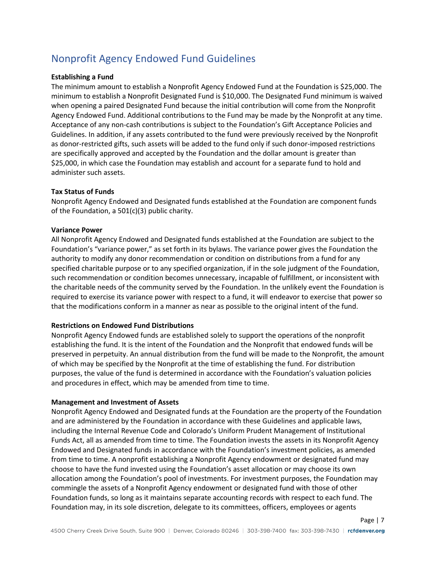# Nonprofit Agency Endowed Fund Guidelines

#### **Establishing a Fund**

The minimum amount to establish a Nonprofit Agency Endowed Fund at the Foundation is \$25,000. The minimum to establish a Nonprofit Designated Fund is \$10,000. The Designated Fund minimum is waived when opening a paired Designated Fund because the initial contribution will come from the Nonprofit Agency Endowed Fund. Additional contributions to the Fund may be made by the Nonprofit at any time. Acceptance of any non-cash contributions is subject to the Foundation's Gift Acceptance Policies and Guidelines. In addition, if any assets contributed to the fund were previously received by the Nonprofit as donor-restricted gifts, such assets will be added to the fund only if such donor-imposed restrictions are specifically approved and accepted by the Foundation and the dollar amount is greater than \$25,000, in which case the Foundation may establish and account for a separate fund to hold and administer such assets.

#### **Tax Status of Funds**

Nonprofit Agency Endowed and Designated funds established at the Foundation are component funds of the Foundation, a 501(c)(3) public charity.

#### **Variance Power**

All Nonprofit Agency Endowed and Designated funds established at the Foundation are subject to the Foundation's "variance power," as set forth in its bylaws. The variance power gives the Foundation the authority to modify any donor recommendation or condition on distributions from a fund for any specified charitable purpose or to any specified organization, if in the sole judgment of the Foundation, such recommendation or condition becomes unnecessary, incapable of fulfillment, or inconsistent with the charitable needs of the community served by the Foundation. In the unlikely event the Foundation is required to exercise its variance power with respect to a fund, it will endeavor to exercise that power so that the modifications conform in a manner as near as possible to the original intent of the fund.

#### **Restrictions on Endowed Fund Distributions**

Nonprofit Agency Endowed funds are established solely to support the operations of the nonprofit establishing the fund. It is the intent of the Foundation and the Nonprofit that endowed funds will be preserved in perpetuity. An annual distribution from the fund will be made to the Nonprofit, the amount of which may be specified by the Nonprofit at the time of establishing the fund. For distribution purposes, the value of the fund is determined in accordance with the Foundation's valuation policies and procedures in effect, which may be amended from time to time.

#### **Management and Investment of Assets**

Nonprofit Agency Endowed and Designated funds at the Foundation are the property of the Foundation and are administered by the Foundation in accordance with these Guidelines and applicable laws, including the Internal Revenue Code and Colorado's Uniform Prudent Management of Institutional Funds Act, all as amended from time to time. The Foundation invests the assets in its Nonprofit Agency Endowed and Designated funds in accordance with the Foundation's investment policies, as amended from time to time. A nonprofit establishing a Nonprofit Agency endowment or designated fund may choose to have the fund invested using the Foundation's asset allocation or may choose its own allocation among the Foundation's pool of investments. For investment purposes, the Foundation may commingle the assets of a Nonprofit Agency endowment or designated fund with those of other Foundation funds, so long as it maintains separate accounting records with respect to each fund. The Foundation may, in its sole discretion, delegate to its committees, officers, employees or agents

Page | 7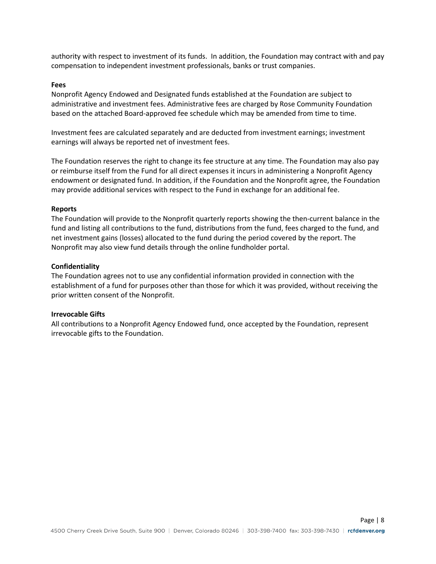authority with respect to investment of its funds. In addition, the Foundation may contract with and pay compensation to independent investment professionals, banks or trust companies.

#### **Fees**

Nonprofit Agency Endowed and Designated funds established at the Foundation are subject to administrative and investment fees. Administrative fees are charged by Rose Community Foundation based on the attached Board-approved fee schedule which may be amended from time to time.

Investment fees are calculated separately and are deducted from investment earnings; investment earnings will always be reported net of investment fees.

The Foundation reserves the right to change its fee structure at any time. The Foundation may also pay or reimburse itself from the Fund for all direct expenses it incurs in administering a Nonprofit Agency endowment or designated fund. In addition, if the Foundation and the Nonprofit agree, the Foundation may provide additional services with respect to the Fund in exchange for an additional fee.

#### **Reports**

The Foundation will provide to the Nonprofit quarterly reports showing the then-current balance in the fund and listing all contributions to the fund, distributions from the fund, fees charged to the fund, and net investment gains (losses) allocated to the fund during the period covered by the report. The Nonprofit may also view fund details through the online fundholder portal.

#### **Confidentiality**

The Foundation agrees not to use any confidential information provided in connection with the establishment of a fund for purposes other than those for which it was provided, without receiving the prior written consent of the Nonprofit.

#### **Irrevocable Gifts**

All contributions to a Nonprofit Agency Endowed fund, once accepted by the Foundation, represent irrevocable gifts to the Foundation.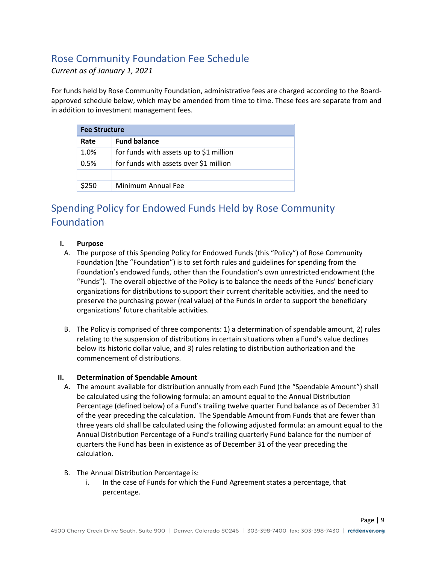# Rose Community Foundation Fee Schedule

*Current as of January 1, 2021*

For funds held by Rose Community Foundation, administrative fees are charged according to the Boardapproved schedule below, which may be amended from time to time. These fees are separate from and in addition to investment management fees.

| <b>Fee Structure</b> |                                         |  |
|----------------------|-----------------------------------------|--|
| Rate                 | <b>Fund balance</b>                     |  |
| 1.0%                 | for funds with assets up to \$1 million |  |
| 0.5%                 | for funds with assets over \$1 million  |  |
|                      |                                         |  |
| \$250                | Minimum Annual Fee                      |  |

# Spending Policy for Endowed Funds Held by Rose Community Foundation

#### **I. Purpose**

- A. The purpose of this Spending Policy for Endowed Funds (this "Policy") of Rose Community Foundation (the "Foundation") is to set forth rules and guidelines for spending from the Foundation's endowed funds, other than the Foundation's own unrestricted endowment (the "Funds"). The overall objective of the Policy is to balance the needs of the Funds' beneficiary organizations for distributions to support their current charitable activities, and the need to preserve the purchasing power (real value) of the Funds in order to support the beneficiary organizations' future charitable activities.
- B. The Policy is comprised of three components: 1) a determination of spendable amount, 2) rules relating to the suspension of distributions in certain situations when a Fund's value declines below its historic dollar value, and 3) rules relating to distribution authorization and the commencement of distributions.

#### **II. Determination of Spendable Amount**

- A. The amount available for distribution annually from each Fund (the "Spendable Amount") shall be calculated using the following formula: an amount equal to the Annual Distribution Percentage (defined below) of a Fund's trailing twelve quarter Fund balance as of December 31 of the year preceding the calculation. The Spendable Amount from Funds that are fewer than three years old shall be calculated using the following adjusted formula: an amount equal to the Annual Distribution Percentage of a Fund's trailing quarterly Fund balance for the number of quarters the Fund has been in existence as of December 31 of the year preceding the calculation.
- B. The Annual Distribution Percentage is:
	- i. In the case of Funds for which the Fund Agreement states a percentage, that percentage.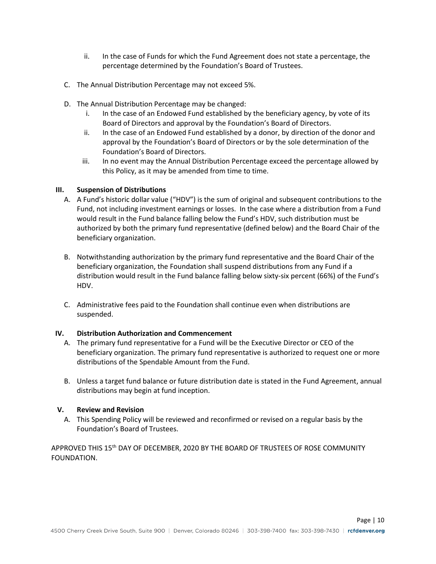- ii. In the case of Funds for which the Fund Agreement does not state a percentage, the percentage determined by the Foundation's Board of Trustees.
- C. The Annual Distribution Percentage may not exceed 5%.
- D. The Annual Distribution Percentage may be changed:
	- i. In the case of an Endowed Fund established by the beneficiary agency, by vote of its Board of Directors and approval by the Foundation's Board of Directors.
	- ii. In the case of an Endowed Fund established by a donor, by direction of the donor and approval by the Foundation's Board of Directors or by the sole determination of the Foundation's Board of Directors.
	- iii. In no event may the Annual Distribution Percentage exceed the percentage allowed by this Policy, as it may be amended from time to time.

#### **III. Suspension of Distributions**

- A. A Fund's historic dollar value ("HDV") is the sum of original and subsequent contributions to the Fund, not including investment earnings or losses. In the case where a distribution from a Fund would result in the Fund balance falling below the Fund's HDV, such distribution must be authorized by both the primary fund representative (defined below) and the Board Chair of the beneficiary organization.
- B. Notwithstanding authorization by the primary fund representative and the Board Chair of the beneficiary organization, the Foundation shall suspend distributions from any Fund if a distribution would result in the Fund balance falling below sixty-six percent (66%) of the Fund's HDV.
- C. Administrative fees paid to the Foundation shall continue even when distributions are suspended.

#### **IV. Distribution Authorization and Commencement**

- A. The primary fund representative for a Fund will be the Executive Director or CEO of the beneficiary organization. The primary fund representative is authorized to request one or more distributions of the Spendable Amount from the Fund.
- B. Unless a target fund balance or future distribution date is stated in the Fund Agreement, annual distributions may begin at fund inception.

#### **V. Review and Revision**

A. This Spending Policy will be reviewed and reconfirmed or revised on a regular basis by the Foundation's Board of Trustees.

APPROVED THIS 15<sup>th</sup> DAY OF DECEMBER, 2020 BY THE BOARD OF TRUSTEES OF ROSE COMMUNITY FOUNDATION.